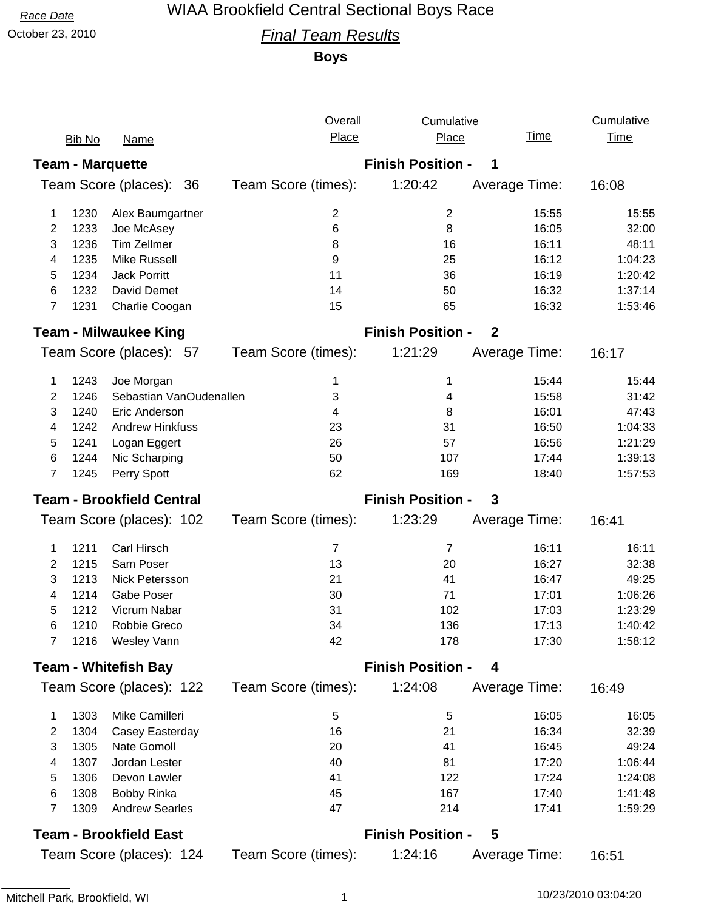# *Race Date* WIAA Brookfield Central Sectional Boys Race

### October 23, 2010 *Final Team Results*

**Boys**

|                                  |               |                               | Overall             | Cumulative                                   |               | Cumulative  |  |
|----------------------------------|---------------|-------------------------------|---------------------|----------------------------------------------|---------------|-------------|--|
|                                  | <b>Bib No</b> | <b>Name</b>                   | Place               | Place                                        | <u>Time</u>   | <b>Time</b> |  |
|                                  |               | <b>Team - Marquette</b>       |                     | <b>Finish Position -</b><br>1                |               |             |  |
| Team Score (places):<br>36       |               |                               | Team Score (times): | 1:20:42                                      | Average Time: | 16:08       |  |
| 1                                | 1230          | Alex Baumgartner              | 2                   | $\overline{c}$                               | 15:55         | 15:55       |  |
| 2                                | 1233          | Joe McAsey                    | 6                   | 8                                            | 16:05         | 32:00       |  |
| 3                                | 1236          | <b>Tim Zellmer</b>            | 8                   | 16                                           | 16:11         | 48:11       |  |
| 4                                | 1235          | <b>Mike Russell</b>           | 9                   | 25                                           | 16:12         | 1:04:23     |  |
| 5                                | 1234          | <b>Jack Porritt</b>           | 11                  | 36                                           | 16:19         | 1:20:42     |  |
| 6                                | 1232          | David Demet                   | 14                  | 50                                           | 16:32         | 1:37:14     |  |
| 7                                | 1231          | Charlie Coogan                | 15                  | 65                                           | 16:32         | 1:53:46     |  |
|                                  |               | <b>Team - Milwaukee King</b>  |                     | <b>Finish Position -</b><br>$\boldsymbol{2}$ |               |             |  |
|                                  |               | Team Score (places): 57       | Team Score (times): | 1:21:29                                      | Average Time: | 16:17       |  |
| 1                                | 1243          | Joe Morgan                    | 1                   | 1                                            | 15:44         | 15:44       |  |
| 2                                | 1246          | Sebastian VanOudenallen       | 3                   | 4                                            | 15:58         | 31:42       |  |
| 3                                | 1240          | Eric Anderson                 | 4                   | 8                                            | 16:01         | 47:43       |  |
| 4                                | 1242          | <b>Andrew Hinkfuss</b>        | 23                  | 31                                           | 16:50         | 1:04:33     |  |
| 5                                | 1241          | Logan Eggert                  | 26                  | 57                                           | 16:56         | 1:21:29     |  |
| 6                                | 1244          | Nic Scharping                 | 50                  | 107                                          | 17:44         | 1:39:13     |  |
| 7                                | 1245          | Perry Spott                   | 62                  | 169                                          | 18:40         | 1:57:53     |  |
| <b>Team - Brookfield Central</b> |               |                               |                     | <b>Finish Position -</b>                     | 3             |             |  |
|                                  |               | Team Score (places): 102      | Team Score (times): | 1:23:29                                      | Average Time: | 16:41       |  |
|                                  |               |                               | $\overline{7}$      | $\overline{7}$                               | 16:11         | 16:11       |  |
| 1                                | 1211          | Carl Hirsch                   |                     |                                              |               |             |  |
| 2                                | 1215          | Sam Poser                     | 13                  | 20                                           | 16:27         | 32:38       |  |
| 3                                | 1213          | Nick Petersson                | 21                  | 41                                           | 16:47         | 49:25       |  |
| 4                                | 1214          | Gabe Poser                    | 30                  | 71                                           | 17:01         | 1:06:26     |  |
| 5                                | 1212          | Vicrum Nabar                  | 31                  | 102                                          | 17:03         | 1:23:29     |  |
| 6                                | 1210          | Robbie Greco                  | 34                  | 136                                          | 17:13         | 1:40:42     |  |
| 7                                | 1216          | Wesley Vann                   | 42                  | 178                                          | 17:30         | 1:58:12     |  |
|                                  |               | <b>Team - Whitefish Bay</b>   |                     | <b>Finish Position -</b>                     | 4             |             |  |
|                                  |               | Team Score (places): 122      | Team Score (times): | 1:24:08                                      | Average Time: | 16:49       |  |
| 1                                | 1303          | Mike Camilleri                | 5                   | 5                                            | 16:05         | 16:05       |  |
| 2                                | 1304          | Casey Easterday               | 16                  | 21                                           | 16:34         | 32:39       |  |
| 3                                | 1305          | Nate Gomoll                   | 20                  | 41                                           | 16:45         | 49:24       |  |
| 4                                | 1307          | Jordan Lester                 | 40                  | 81                                           | 17:20         | 1:06:44     |  |
| 5                                | 1306          | Devon Lawler                  | 41                  | 122                                          | 17:24         | 1:24:08     |  |
| 6                                | 1308          | <b>Bobby Rinka</b>            | 45                  | 167                                          | 17:40         | 1:41:48     |  |
| 7                                | 1309          | <b>Andrew Searles</b>         | 47                  | 214                                          | 17:41         | 1:59:29     |  |
|                                  |               | <b>Team - Brookfield East</b> |                     | <b>Finish Position -</b>                     | 5             |             |  |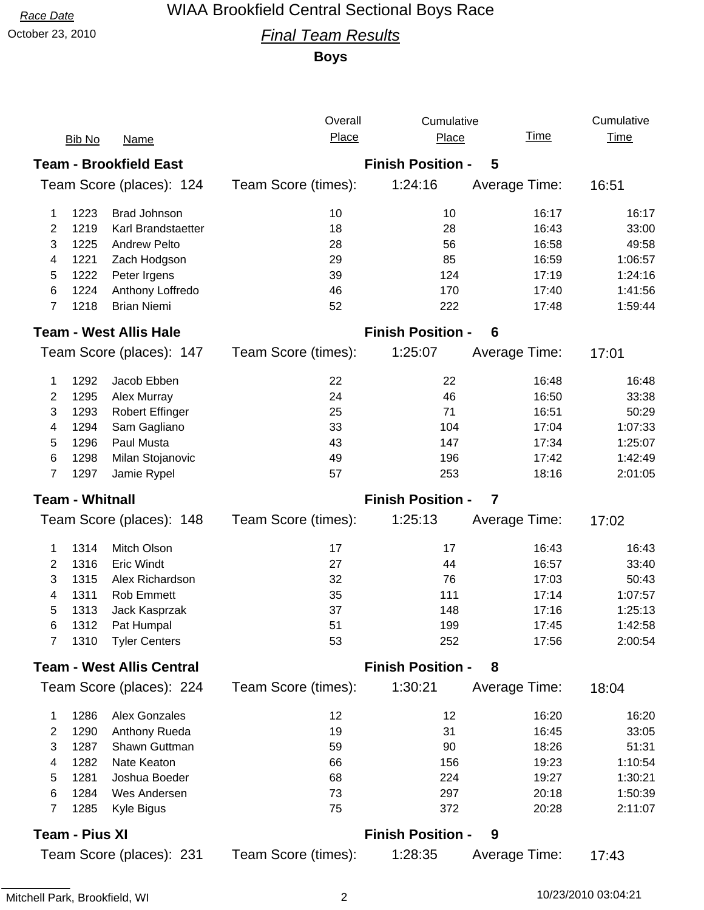# *Race Date* WIAA Brookfield Central Sectional Boys Race

### October 23, 2010 *Final Team Results*

**Boys**

|                                  |               |                               | Overall                                             | Cumulative |               | Cumulative  |
|----------------------------------|---------------|-------------------------------|-----------------------------------------------------|------------|---------------|-------------|
|                                  | <b>Bib No</b> | <b>Name</b>                   | Place                                               | Place      | <u>Time</u>   | <b>Time</b> |
| <b>Team - Brookfield East</b>    |               |                               | <b>Finish Position -</b><br>5                       |            |               |             |
| Team Score (places): 124         |               |                               | Team Score (times):                                 | 1:24:16    | Average Time: | 16:51       |
| 1                                | 1223          | <b>Brad Johnson</b>           | 10                                                  | 10         | 16:17         | 16:17       |
| 2                                | 1219          | Karl Brandstaetter            | 18                                                  | 28         | 16:43         | 33:00       |
| 3                                | 1225          | <b>Andrew Pelto</b>           | 28                                                  | 56         | 16:58         | 49:58       |
| 4                                | 1221          | Zach Hodgson                  | 29                                                  | 85         | 16:59         | 1:06:57     |
| 5                                | 1222          | Peter Irgens                  | 39                                                  | 124        | 17:19         | 1:24:16     |
| 6                                | 1224          | Anthony Loffredo              | 46                                                  | 170        | 17:40         | 1:41:56     |
| 7                                | 1218          | <b>Brian Niemi</b>            | 52                                                  | 222        | 17:48         | 1:59:44     |
|                                  |               | <b>Team - West Allis Hale</b> | <b>Finish Position -</b><br>6                       |            |               |             |
|                                  |               | Team Score (places): 147      | Team Score (times):                                 | 1:25:07    | Average Time: | 17:01       |
| 1                                | 1292          | Jacob Ebben                   | 22                                                  | 22         | 16:48         | 16:48       |
| 2                                | 1295          | Alex Murray                   | 24                                                  | 46         | 16:50         | 33:38       |
| 3                                | 1293          | <b>Robert Effinger</b>        | 25                                                  | 71         | 16:51         | 50:29       |
| 4                                | 1294          | Sam Gagliano                  | 33                                                  | 104        | 17:04         | 1:07:33     |
| 5                                | 1296          | Paul Musta                    | 43                                                  | 147        | 17:34         | 1:25:07     |
| 6                                | 1298          | Milan Stojanovic              | 49                                                  | 196        | 17:42         | 1:42:49     |
| 7                                | 1297          | Jamie Rypel                   | 57                                                  | 253        | 18:16         | 2:01:05     |
| <b>Team - Whitnall</b>           |               |                               | <b>Finish Position -</b><br>$\overline{\mathbf{7}}$ |            |               |             |
|                                  |               | Team Score (places): 148      | Team Score (times):                                 | 1:25:13    | Average Time: | 17:02       |
| 1                                | 1314          | Mitch Olson                   | 17                                                  | 17         | 16:43         | 16:43       |
| 2                                | 1316          | <b>Eric Windt</b>             | 27                                                  | 44         | 16:57         | 33:40       |
| 3                                | 1315          | Alex Richardson               | 32                                                  | 76         | 17:03         | 50:43       |
| 4                                | 1311          | Rob Emmett                    | 35                                                  | 111        | 17:14         | 1:07:57     |
| 5                                | 1313          | Jack Kasprzak                 | 37                                                  | 148        | 17:16         | 1:25:13     |
| 6                                | 1312          | Pat Humpal                    | 51                                                  | 199        | 17:45         | 1:42:58     |
| 7                                | 1310          | <b>Tyler Centers</b>          | 53                                                  | 252        | 17:56         | 2:00:54     |
| <b>Team - West Allis Central</b> |               |                               | <b>Finish Position -</b><br>8                       |            |               |             |
|                                  |               | Team Score (places): 224      | Team Score (times):                                 | 1:30:21    | Average Time: | 18:04       |
| 1                                | 1286          | <b>Alex Gonzales</b>          | 12                                                  | 12         | 16:20         | 16:20       |
| 2                                | 1290          | Anthony Rueda                 | 19                                                  | 31         | 16:45         | 33:05       |
| 3                                | 1287          | Shawn Guttman                 | 59                                                  | 90         | 18:26         | 51:31       |
| 4                                | 1282          | Nate Keaton                   | 66                                                  | 156        | 19:23         | 1:10:54     |
| 5                                | 1281          | Joshua Boeder                 | 68                                                  | 224        | 19:27         | 1:30:21     |
| 6                                | 1284          | Wes Andersen                  | 73                                                  | 297        | 20:18         | 1:50:39     |
| $\overline{7}$                   | 1285          | Kyle Bigus                    | 75                                                  | 372        | 20:28         | 2:11:07     |
| <b>Team - Pius XI</b>            |               |                               | <b>Finish Position -</b><br>9                       |            |               |             |
| Team Score (places): 231         |               |                               | Team Score (times):                                 | 1:28:35    | Average Time: | 17:43       |